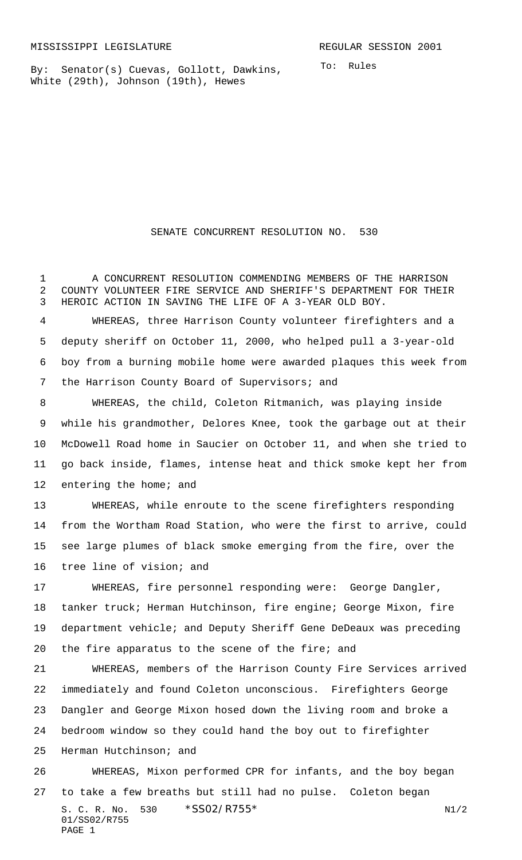By: Senator(s) Cuevas, Gollott, Dawkins, White (29th), Johnson (19th), Hewes

To: Rules

## SENATE CONCURRENT RESOLUTION NO. 530

 A CONCURRENT RESOLUTION COMMENDING MEMBERS OF THE HARRISON COUNTY VOLUNTEER FIRE SERVICE AND SHERIFF'S DEPARTMENT FOR THEIR HEROIC ACTION IN SAVING THE LIFE OF A 3-YEAR OLD BOY.

 WHEREAS, three Harrison County volunteer firefighters and a deputy sheriff on October 11, 2000, who helped pull a 3-year-old boy from a burning mobile home were awarded plaques this week from 7 the Harrison County Board of Supervisors; and

 WHEREAS, the child, Coleton Ritmanich, was playing inside while his grandmother, Delores Knee, took the garbage out at their McDowell Road home in Saucier on October 11, and when she tried to go back inside, flames, intense heat and thick smoke kept her from 12 entering the home; and

 WHEREAS, while enroute to the scene firefighters responding from the Wortham Road Station, who were the first to arrive, could see large plumes of black smoke emerging from the fire, over the tree line of vision; and

 WHEREAS, fire personnel responding were: George Dangler, tanker truck; Herman Hutchinson, fire engine; George Mixon, fire department vehicle; and Deputy Sheriff Gene DeDeaux was preceding the fire apparatus to the scene of the fire; and

 WHEREAS, members of the Harrison County Fire Services arrived immediately and found Coleton unconscious. Firefighters George Dangler and George Mixon hosed down the living room and broke a bedroom window so they could hand the boy out to firefighter Herman Hutchinson; and WHEREAS, Mixon performed CPR for infants, and the boy began

S. C. R. No.  $530 \times $SO2/RT55^*$  N1/2 01/SS02/R755 PAGE 1 to take a few breaths but still had no pulse. Coleton began